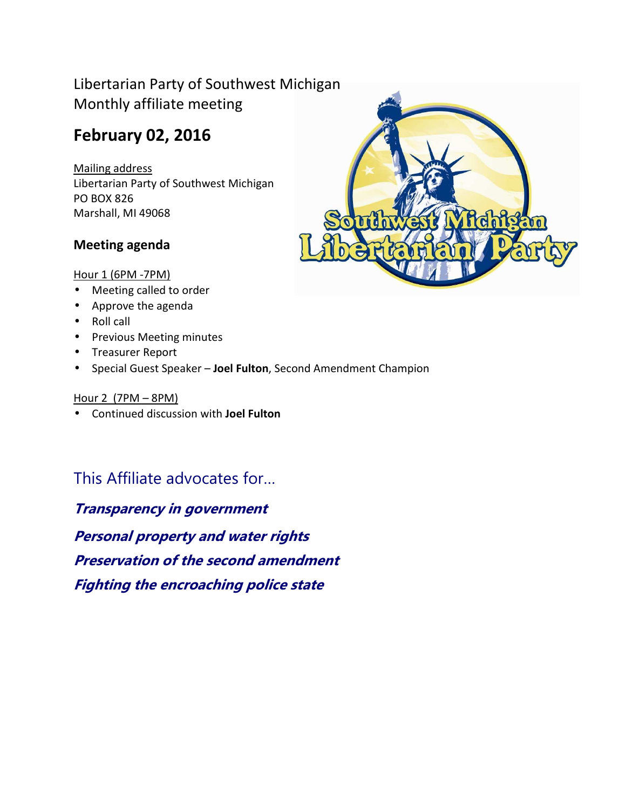## Libertarian Party of Southwest Michigan Monthly affiliate meeting

## **February 02, 2016**

Mailing address Libertarian Party of Southwest Michigan PO BOX 826 Marshall, MI 49068

### **Meeting agenda**

#### Hour 1 (6PM -7PM)

- Meeting called to order
- Approve the agenda
- Roll call
- Previous Meeting minutes
- Treasurer Report
- Special Guest Speaker **Joel Fulton**, Second Amendment Champion

#### Hour 2 (7PM – 8PM)

• Continued discussion with **Joel Fulton**

## This Affiliate advocates for…

**Transparency in government Personal property and water rights Preservation of the second amendment Fighting the encroaching police state**